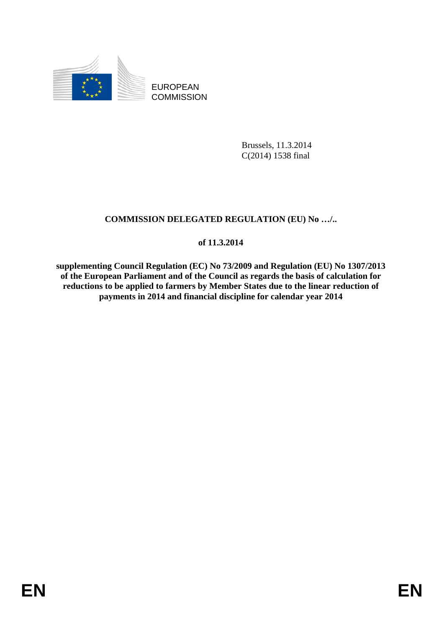

EUROPEAN **COMMISSION** 

> Brussels, 11.3.2014 C(2014) 1538 final

# **COMMISSION DELEGATED REGULATION (EU) No …/..**

# **of 11.3.2014**

**supplementing Council Regulation (EC) No 73/2009 and Regulation (EU) No 1307/2013 of the European Parliament and of the Council as regards the basis of calculation for reductions to be applied to farmers by Member States due to the linear reduction of payments in 2014 and financial discipline for calendar year 2014**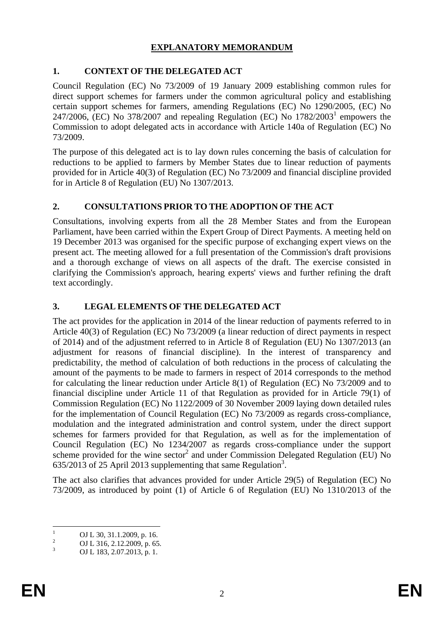## **EXPLANATORY MEMORANDUM**

# **1. CONTEXT OF THE DELEGATED ACT**

Council Regulation (EC) No 73/2009 of 19 January 2009 establishing common rules for direct support schemes for farmers under the common agricultural policy and establishing certain support schemes for farmers, amending Regulations (EC) No 1290/2005, (EC) No 247/2006, (EC) No 378/2007 and repealing Regulation (EC) No  $1782/2003<sup>1</sup>$  empowers the Commission to adopt delegated acts in accordance with Article 140a of Regulation (EC) No 73/2009.

The purpose of this delegated act is to lay down rules concerning the basis of calculation for reductions to be applied to farmers by Member States due to linear reduction of payments provided for in Article 40(3) of Regulation (EC) No 73/2009 and financial discipline provided for in Article 8 of Regulation (EU) No 1307/2013.

# **2. CONSULTATIONS PRIOR TO THE ADOPTION OF THE ACT**

Consultations, involving experts from all the 28 Member States and from the European Parliament, have been carried within the Expert Group of Direct Payments. A meeting held on 19 December 2013 was organised for the specific purpose of exchanging expert views on the present act. The meeting allowed for a full presentation of the Commission's draft provisions and a thorough exchange of views on all aspects of the draft. The exercise consisted in clarifying the Commission's approach, hearing experts' views and further refining the draft text accordingly.

# **3. LEGAL ELEMENTS OF THE DELEGATED ACT**

The act provides for the application in 2014 of the linear reduction of payments referred to in Article 40(3) of Regulation (EC) No 73/2009 (a linear reduction of direct payments in respect of 2014) and of the adjustment referred to in Article 8 of Regulation (EU) No 1307/2013 (an adjustment for reasons of financial discipline). In the interest of transparency and predictability, the method of calculation of both reductions in the process of calculating the amount of the payments to be made to farmers in respect of 2014 corresponds to the method for calculating the linear reduction under Article 8(1) of Regulation (EC) No 73/2009 and to financial discipline under Article 11 of that Regulation as provided for in Article 79(1) of Commission Regulation (EC) No 1122/2009 of 30 November 2009 laying down detailed rules for the implementation of Council Regulation (EC) No 73/2009 as regards cross-compliance, modulation and the integrated administration and control system, under the direct support schemes for farmers provided for that Regulation, as well as for the implementation of Council Regulation (EC) No 1234/2007 as regards cross-compliance under the support scheme provided for the wine sector<sup>2</sup> and under Commission Delegated Regulation (EU) No  $635/2013$  of 25 April 2013 supplementing that same Regulation<sup>3</sup>.

The act also clarifies that advances provided for under Article 29(5) of Regulation (EC) No 73/2009, as introduced by point (1) of Article 6 of Regulation (EU) No 1310/2013 of the

 $\frac{1}{1}$ OJ L 30, 31.1.2009, p. 16.

<sup>2</sup> OJ L 316, 2.12.2009, p. 65.

<sup>3</sup> OJ L 183, 2.07.2013, p. 1.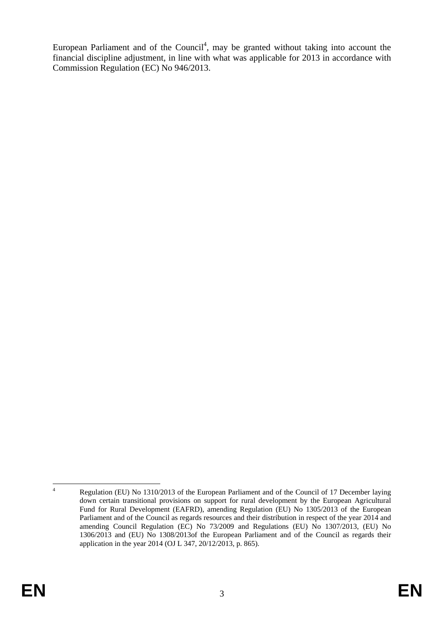European Parliament and of the Council<sup>4</sup>, may be granted without taking into account the financial discipline adjustment, in line with what was applicable for 2013 in accordance with Commission Regulation (EC) No 946/2013.

 $\frac{1}{4}$  Regulation (EU) No 1310/2013 of the European Parliament and of the Council of 17 December laying down certain transitional provisions on support for rural development by the European Agricultural Fund for Rural Development (EAFRD), amending Regulation (EU) No 1305/2013 of the European Parliament and of the Council as regards resources and their distribution in respect of the year 2014 and amending Council Regulation (EC) No 73/2009 and Regulations (EU) No 1307/2013, (EU) No 1306/2013 and (EU) No 1308/2013of the European Parliament and of the Council as regards their application in the year 2014 (OJ L 347, 20/12/2013, p. 865).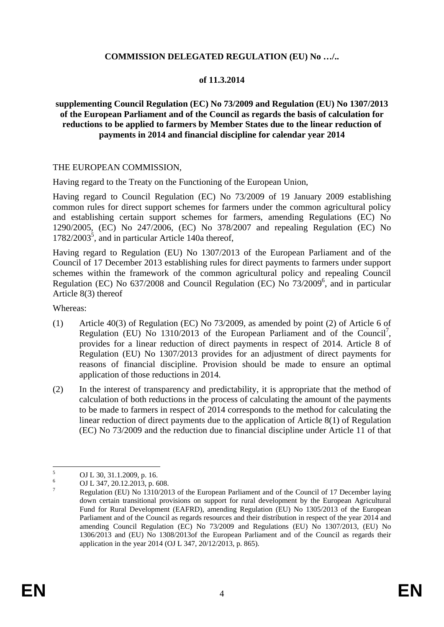### **COMMISSION DELEGATED REGULATION (EU) No …/..**

## **of 11.3.2014**

### **supplementing Council Regulation (EC) No 73/2009 and Regulation (EU) No 1307/2013 of the European Parliament and of the Council as regards the basis of calculation for reductions to be applied to farmers by Member States due to the linear reduction of payments in 2014 and financial discipline for calendar year 2014**

### THE EUROPEAN COMMISSION,

Having regard to the Treaty on the Functioning of the European Union,

Having regard to Council Regulation (EC) No 73/2009 of 19 January 2009 establishing common rules for direct support schemes for farmers under the common agricultural policy and establishing certain support schemes for farmers, amending Regulations (EC) No 1290/2005, (EC) No 247/2006, (EC) No 378/2007 and repealing Regulation (EC) No  $1782/2003^5$ , and in particular Article 140a thereof,

Having regard to Regulation (EU) No 1307/2013 of the European Parliament and of the Council of 17 December 2013 establishing rules for direct payments to farmers under support schemes within the framework of the common agricultural policy and repealing Council Regulation (EC) No 637/2008 and Council Regulation (EC) No 73/2009<sup>6</sup>, and in particular Article 8(3) thereof

Whereas:

- (1) Article 40(3) of Regulation (EC) No 73/2009, as amended by point (2) of Article 6 of Regulation (EU) No  $1310/2013$  of the European Parliament and of the Council<sup>7</sup>, provides for a linear reduction of direct payments in respect of 2014. Article 8 of Regulation (EU) No 1307/2013 provides for an adjustment of direct payments for reasons of financial discipline. Provision should be made to ensure an optimal application of those reductions in 2014.
- (2) In the interest of transparency and predictability, it is appropriate that the method of calculation of both reductions in the process of calculating the amount of the payments to be made to farmers in respect of 2014 corresponds to the method for calculating the linear reduction of direct payments due to the application of Article 8(1) of Regulation (EC) No 73/2009 and the reduction due to financial discipline under Article 11 of that

 $\frac{1}{5}$ OJ L 30, 31.1.2009, p. 16.

<sup>6</sup> OJ L 347, 20.12.2013, p. 608.

<sup>7</sup> Regulation (EU) No 1310/2013 of the European Parliament and of the Council of 17 December laying down certain transitional provisions on support for rural development by the European Agricultural Fund for Rural Development (EAFRD), amending Regulation (EU) No 1305/2013 of the European Parliament and of the Council as regards resources and their distribution in respect of the year 2014 and amending Council Regulation (EC) No 73/2009 and Regulations (EU) No 1307/2013, (EU) No 1306/2013 and (EU) No 1308/2013of the European Parliament and of the Council as regards their application in the year 2014 (OJ L 347, 20/12/2013, p. 865).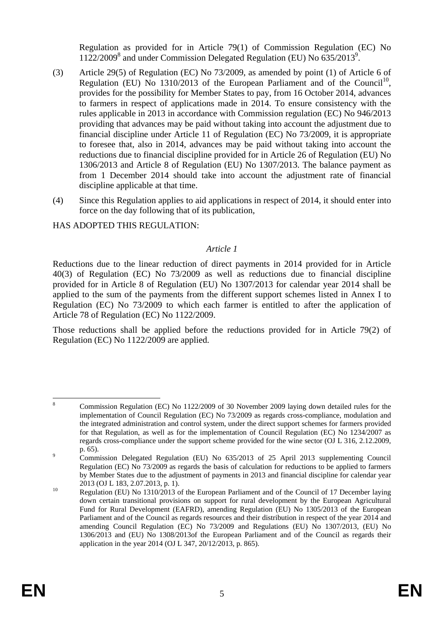Regulation as provided for in Article 79(1) of Commission Regulation (EC) No 1122/2009<sup>8</sup> and under Commission Delegated Regulation (EU) No 635/20139 .

- (3) Article 29(5) of Regulation (EC) No 73/2009, as amended by point (1) of Article 6 of Regulation (EU) No 1310/2013 of the European Parliament and of the Council<sup>10</sup>, provides for the possibility for Member States to pay, from 16 October 2014, advances to farmers in respect of applications made in 2014. To ensure consistency with the rules applicable in 2013 in accordance with Commission regulation (EC) No 946/2013 providing that advances may be paid without taking into account the adjustment due to financial discipline under Article 11 of Regulation (EC) No 73/2009, it is appropriate to foresee that, also in 2014, advances may be paid without taking into account the reductions due to financial discipline provided for in Article 26 of Regulation (EU) No 1306/2013 and Article 8 of Regulation (EU) No 1307/2013. The balance payment as from 1 December 2014 should take into account the adjustment rate of financial discipline applicable at that time.
- (4) Since this Regulation applies to aid applications in respect of 2014, it should enter into force on the day following that of its publication,

## HAS ADOPTED THIS REGULATION:

### *Article 1*

Reductions due to the linear reduction of direct payments in 2014 provided for in Article 40(3) of Regulation (EC) No 73/2009 as well as reductions due to financial discipline provided for in Article 8 of Regulation (EU) No 1307/2013 for calendar year 2014 shall be applied to the sum of the payments from the different support schemes listed in Annex I to Regulation (EC) No 73/2009 to which each farmer is entitled to after the application of Article 78 of Regulation (EC) No 1122/2009.

Those reductions shall be applied before the reductions provided for in Article 79(2) of Regulation (EC) No 1122/2009 are applied.

 $\frac{1}{8}$  Commission Regulation (EC) No 1122/2009 of 30 November 2009 laying down detailed rules for the implementation of Council Regulation (EC) No 73/2009 as regards cross-compliance, modulation and the integrated administration and control system, under the direct support schemes for farmers provided for that Regulation, as well as for the implementation of Council Regulation (EC) No 1234/2007 as regards cross-compliance under the support scheme provided for the wine sector (OJ L 316, 2.12.2009,  $p. 65$ ).

Commission Delegated Regulation (EU) No 635/2013 of 25 April 2013 supplementing Council Regulation (EC) No 73/2009 as regards the basis of calculation for reductions to be applied to farmers by Member States due to the adjustment of payments in 2013 and financial discipline for calendar year

<sup>2013 (</sup>OJ L 183, 2.07.2013, p. 1).<br>
Regulation (EU) No 1310/2013 of the European Parliament and of the Council of 17 December laying down certain transitional provisions on support for rural development by the European Agricultural Fund for Rural Development (EAFRD), amending Regulation (EU) No 1305/2013 of the European Parliament and of the Council as regards resources and their distribution in respect of the year 2014 and amending Council Regulation (EC) No 73/2009 and Regulations (EU) No 1307/2013, (EU) No 1306/2013 and (EU) No 1308/2013of the European Parliament and of the Council as regards their application in the year 2014 (OJ L 347, 20/12/2013, p. 865).